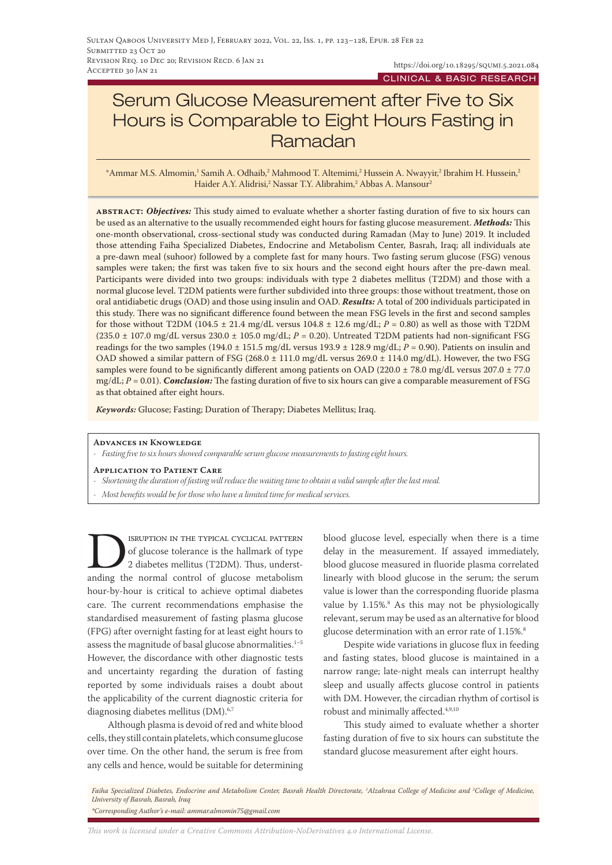# Serum Glucose Measurement after Five to Six Hours is Comparable to Eight Hours Fasting in Ramadan

\*Ammar M.S. Almomin,1 Samih A. Odhaib,2 Mahmood T. Altemimi,2 Hussein A. Nwayyir,2 Ibrahim H. Hussein,2 Haider A.Y. Alidrisi,<sup>2</sup> Nassar T.Y. Alibrahim,<sup>2</sup> Abbas A. Mansour<sup>2</sup>

**abstract:** *Objectives:* This study aimed to evaluate whether a shorter fasting duration of five to six hours can be used as an alternative to the usually recommended eight hours for fasting glucose measurement. *Methods:* This one-month observational, cross-sectional study was conducted during Ramadan (May to June) 2019. It included those attending Faiha Specialized Diabetes, Endocrine and Metabolism Center, Basrah, Iraq; all individuals ate a pre-dawn meal (suhoor) followed by a complete fast for many hours. Two fasting serum glucose (FSG) venous samples were taken; the first was taken five to six hours and the second eight hours after the pre-dawn meal. Participants were divided into two groups: individuals with type 2 diabetes mellitus (T2DM) and those with a normal glucose level. T2DM patients were further subdivided into three groups: those without treatment, those on oral antidiabetic drugs (OAD) and those using insulin and OAD. *Results:* A total of 200 individuals participated in this study. There was no significant difference found between the mean FSG levels in the first and second samples for those without T2DM (104.5  $\pm$  21.4 mg/dL versus 104.8  $\pm$  12.6 mg/dL;  $P = 0.80$ ) as well as those with T2DM (235.0 ± 107.0 mg/dL versus 230.0 ± 105.0 mg/dL; *P* = 0.20). Untreated T2DM patients had non-significant FSG readings for the two samples (194.0  $\pm$  151.5 mg/dL versus 193.9  $\pm$  128.9 mg/dL; *P* = 0.90). Patients on insulin and OAD showed a similar pattern of FSG (268.0 ± 111.0 mg/dL versus 269.0 ± 114.0 mg/dL). However, the two FSG samples were found to be significantly different among patients on OAD (220.0 ± 78.0 mg/dL versus 207.0 ± 77.0 mg/dL; *P* = 0.01). *Conclusion:* The fasting duration of five to six hours can give a comparable measurement of FSG as that obtained after eight hours.

*Keywords:* Glucose; Fasting; Duration of Therapy; Diabetes Mellitus; Iraq.

#### **Advances in Knowledge**

- *- Fasting five to six hours showed comparable serum glucose measurements to fasting eight hours.*
- **Application to Patient Care**
- *- Shortening the duration of fasting will reduce the waiting time to obtain a valid sample after the last meal.*
- *- Most benefits would be for those who have a limited time for medical services.*

SERUPTION IN THE TYPICAL CYCLICAL PATTERN<br>of glucose tolerance is the hallmark of type<br>2 diabetes mellitus (T2DM). Thus, underst-<br>anding the normal control of glucose metabolism of glucose tolerance is the hallmark of type 2 diabetes mellitus (T2DM). Thus, understanding the normal control of glucose metabolism hour-by-hour is critical to achieve optimal diabetes care. The current recommendations emphasise the standardised measurement of fasting plasma glucose (FPG) after overnight fasting for at least eight hours to assess the magnitude of basal glucose abnormalities.<sup>1-5</sup> However, the discordance with other diagnostic tests and uncertainty regarding the duration of fasting reported by some individuals raises a doubt about the applicability of the current diagnostic criteria for diagnosing diabetes mellitus (DM).<sup>6,7</sup>

Although plasma is devoid of red and white blood cells, they still contain platelets, which consume glucose over time. On the other hand, the serum is free from any cells and hence, would be suitable for determining blood glucose level, especially when there is a time delay in the measurement. If assayed immediately, blood glucose measured in fluoride plasma correlated linearly with blood glucose in the serum; the serum value is lower than the corresponding fluoride plasma value by 1.15%.<sup>8</sup> As this may not be physiologically relevant, serum may be used as an alternative for blood glucose determination with an error rate of 1.15%.<sup>8</sup>

Despite wide variations in glucose flux in feeding and fasting states, blood glucose is maintained in a narrow range; late-night meals can interrupt healthy sleep and usually affects glucose control in patients with DM. However, the circadian rhythm of cortisol is robust and minimally affected.<sup>4,9,10</sup>

This study aimed to evaluate whether a shorter fasting duration of five to six hours can substitute the standard glucose measurement after eight hours.

*Faiha Specialized Diabetes, Endocrine and Metabolism Center, Basrah Health Directorate, 1 Alzahraa College of Medicine and 2 College of Medicine, University of Basrah, Basrah, Iraq \*Corresponding Author's e-mail: ammar.almomin75@gmail.com*

*This work is licensed under a [Creative Commons Attribution-NoDerivatives 4.0 International License.](https://creativecommons.org/licenses/by-nd/4.0/)*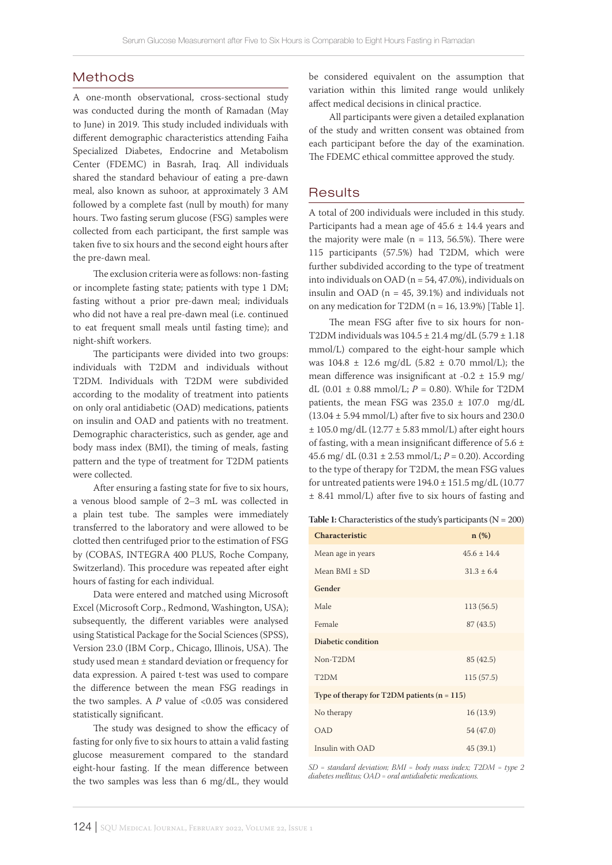### Methods

A one-month observational, cross-sectional study was conducted during the month of Ramadan (May to June) in 2019. This study included individuals with different demographic characteristics attending Faiha Specialized Diabetes, Endocrine and Metabolism Center (FDEMC) in Basrah, Iraq. All individuals shared the standard behaviour of eating a pre-dawn meal, also known as suhoor, at approximately 3 AM followed by a complete fast (null by mouth) for many hours. Two fasting serum glucose (FSG) samples were collected from each participant, the first sample was taken five to six hours and the second eight hours after the pre-dawn meal.

The exclusion criteria were as follows: non-fasting or incomplete fasting state; patients with type 1 DM; fasting without a prior pre-dawn meal; individuals who did not have a real pre-dawn meal (i.e. continued to eat frequent small meals until fasting time); and night-shift workers.

The participants were divided into two groups: individuals with T2DM and individuals without T2DM. Individuals with T2DM were subdivided according to the modality of treatment into patients on only oral antidiabetic (OAD) medications, patients on insulin and OAD and patients with no treatment. Demographic characteristics, such as gender, age and body mass index (BMI), the timing of meals, fasting pattern and the type of treatment for T2DM patients were collected.

After ensuring a fasting state for five to six hours, a venous blood sample of 2–3 mL was collected in a plain test tube. The samples were immediately transferred to the laboratory and were allowed to be clotted then centrifuged prior to the estimation of FSG by (COBAS, INTEGRA 400 PLUS, Roche Company, Switzerland). This procedure was repeated after eight hours of fasting for each individual.

Data were entered and matched using Microsoft Excel (Microsoft Corp., Redmond, Washington, USA); subsequently, the different variables were analysed using Statistical Package for the Social Sciences (SPSS), Version 23.0 (IBM Corp., Chicago, Illinois, USA). The study used mean ± standard deviation or frequency for data expression. A paired t-test was used to compare the difference between the mean FSG readings in the two samples. A *P* value of <0.05 was considered statistically significant.

The study was designed to show the efficacy of fasting for only five to six hours to attain a valid fasting glucose measurement compared to the standard eight-hour fasting. If the mean difference between the two samples was less than 6 mg/dL, they would

be considered equivalent on the assumption that variation within this limited range would unlikely affect medical decisions in clinical practice.

All participants were given a detailed explanation of the study and written consent was obtained from each participant before the day of the examination. The FDEMC ethical committee approved the study.

### **Results**

A total of 200 individuals were included in this study. Participants had a mean age of  $45.6 \pm 14.4$  years and the majority were male ( $n = 113, 56.5\%$ ). There were 115 participants (57.5%) had T2DM, which were further subdivided according to the type of treatment into individuals on OAD ( $n = 54, 47.0\%$ ), individuals on insulin and OAD ( $n = 45$ , 39.1%) and individuals not on any medication for T2DM ( $n = 16$ , 13.9%) [Table 1].

The mean FSG after five to six hours for non-T2DM individuals was 104.5 ± 21.4 mg/dL (5.79 ± 1.18 mmol/L) compared to the eight-hour sample which was  $104.8 \pm 12.6$  mg/dL  $(5.82 \pm 0.70$  mmol/L); the mean difference was insignificant at -0.2 ± 15.9 mg/ dL (0.01 ± 0.88 mmol/L; *P* = 0.80). While for T2DM patients, the mean FSG was  $235.0 \pm 107.0$  mg/dL  $(13.04 \pm 5.94 \text{ mmol/L})$  after five to six hours and 230.0  $± 105.0$  mg/dL (12.77  $± 5.83$  mmol/L) after eight hours of fasting, with a mean insignificant difference of 5.6  $\pm$ 45.6 mg/ dL  $(0.31 \pm 2.53 \text{ mmol/L}; P = 0.20)$ . According to the type of therapy for T2DM, the mean FSG values for untreated patients were  $194.0 \pm 151.5$  mg/dL (10.77 ± 8.41 mmol/L) after five to six hours of fasting and

**Table 1:** Characteristics of the study's participants (N = 200)

| <b>Characteristic</b>                         | n(%)           |  |  |  |
|-----------------------------------------------|----------------|--|--|--|
| Mean age in years                             | $45.6 + 14.4$  |  |  |  |
| Mean BMI + SD                                 | $31.3 \pm 6.4$ |  |  |  |
| Gender                                        |                |  |  |  |
| Male                                          | 113(56.5)      |  |  |  |
| Female                                        | 87(43.5)       |  |  |  |
| Diabetic condition                            |                |  |  |  |
| Non-T2DM                                      | 85 (42.5)      |  |  |  |
| T <sub>2</sub> DM                             | 115(57.5)      |  |  |  |
| Type of therapy for T2DM patients $(n = 115)$ |                |  |  |  |
| No therapy                                    | 16(13.9)       |  |  |  |
| <b>OAD</b>                                    | 54 (47.0)      |  |  |  |
| Insulin with OAD                              | 45(39.1)       |  |  |  |

*SD = standard deviation; BMI = body mass index; T2DM = type 2 diabetes mellitus; OAD = oral antidiabetic medications.*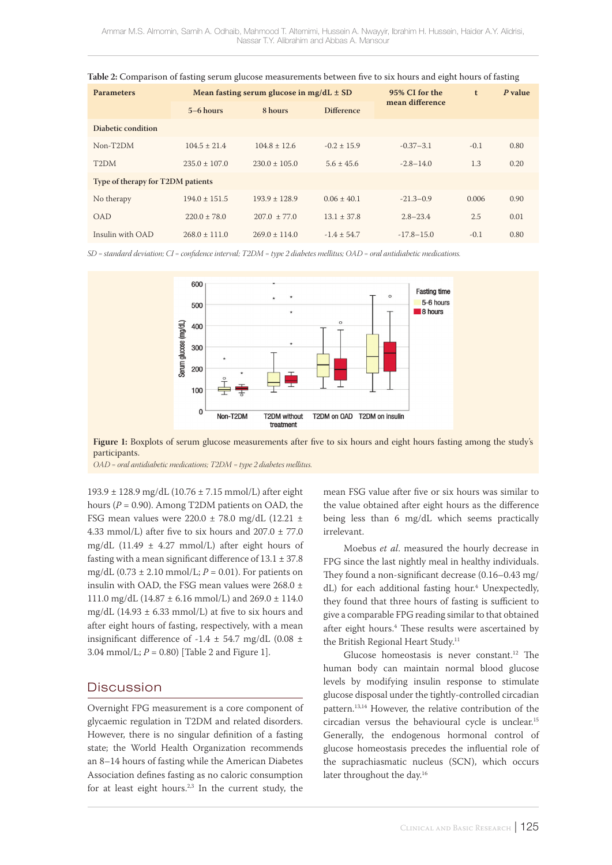| Mean fasting serum glucose in mg/dL $\pm$ SD<br><b>Parameters</b> |                 |                  |                   | 95% CI for the  | t      | P value |  |
|-------------------------------------------------------------------|-----------------|------------------|-------------------|-----------------|--------|---------|--|
|                                                                   | $5-6$ hours     | 8 hours          | <b>Difference</b> | mean difference |        |         |  |
| Diabetic condition                                                |                 |                  |                   |                 |        |         |  |
| Non-T2DM                                                          | $104.5 + 21.4$  | $104.8 \pm 12.6$ | $-0.2 + 15.9$     | $-0.37 - 3.1$   | $-0.1$ | 0.80    |  |
| T <sub>2</sub> DM                                                 | $235.0 + 107.0$ | $230.0 + 105.0$  | $5.6 + 45.6$      | $-2.8 - 14.0$   | 1.3    | 0.20    |  |
| Type of therapy for T2DM patients                                 |                 |                  |                   |                 |        |         |  |
| No therapy                                                        | $194.0 + 151.5$ | $193.9 + 128.9$  | $0.06 + 40.1$     | $-21.3 - 0.9$   | 0.006  | 0.90    |  |
| <b>OAD</b>                                                        | $220.0 + 78.0$  | $207.0 + 77.0$   | $13.1 + 37.8$     | $2.8 - 23.4$    | 2.5    | 0.01    |  |
| Insulin with OAD                                                  | $268.0 + 111.0$ | $269.0 + 114.0$  | $-1.4 + 54.7$     | $-17.8 - 15.0$  | $-0.1$ | 0.80    |  |

|  |  | Table 2: Comparison of fasting serum glucose measurements between five to six hours and eight hours of fasting |
|--|--|----------------------------------------------------------------------------------------------------------------|
|--|--|----------------------------------------------------------------------------------------------------------------|

*SD = standard deviation; CI = confidence interval; T2DM = type 2 diabetes mellitus; OAD = oral antidiabetic medications.*



**Figure 1:** Boxplots of serum glucose measurements after five to six hours and eight hours fasting among the study's participants.

*OAD = oral antidiabetic medications; T2DM = type 2 diabetes mellitus.*

193.9 ± 128.9 mg/dL (10.76 ± 7.15 mmol/L) after eight hours ( $P = 0.90$ ). Among T2DM patients on OAD, the FSG mean values were  $220.0 \pm 78.0$  mg/dL (12.21  $\pm$ 4.33 mmol/L) after five to six hours and  $207.0 \pm 77.0$ mg/dL (11.49  $\pm$  4.27 mmol/L) after eight hours of fasting with a mean significant difference of  $13.1 \pm 37.8$ mg/dL (0.73  $\pm$  2.10 mmol/L; *P* = 0.01). For patients on insulin with OAD, the FSG mean values were  $268.0 \pm$ 111.0 mg/dL (14.87  $\pm$  6.16 mmol/L) and 269.0  $\pm$  114.0 mg/dL (14.93  $\pm$  6.33 mmol/L) at five to six hours and after eight hours of fasting, respectively, with a mean insignificant difference of -1.4  $\pm$  54.7 mg/dL (0.08  $\pm$ 3.04 mmol/L;  $P = 0.80$ ) [Table 2 and Figure 1].

### **Discussion**

Overnight FPG measurement is a core component of glycaemic regulation in T2DM and related disorders. However, there is no singular definition of a fasting state; the World Health Organization recommends an 8–14 hours of fasting while the American Diabetes Association defines fasting as no caloric consumption for at least eight hours.<sup>2,3</sup> In the current study, the

mean FSG value after five or six hours was similar to the value obtained after eight hours as the difference being less than 6 mg/dL which seems practically irrelevant.

Moebus *et al*. measured the hourly decrease in FPG since the last nightly meal in healthy individuals. They found a non-significant decrease (0.16–0.43 mg/ dL) for each additional fasting hour.<sup>4</sup> Unexpectedly, they found that three hours of fasting is sufficient to give a comparable FPG reading similar to that obtained after eight hours.<sup>4</sup> These results were ascertained by the British Regional Heart Study.<sup>11</sup>

Glucose homeostasis is never constant.<sup>12</sup> The human body can maintain normal blood glucose levels by modifying insulin response to stimulate glucose disposal under the tightly-controlled circadian pattern.13,14 However, the relative contribution of the circadian versus the behavioural cycle is unclear.15 Generally, the endogenous hormonal control of glucose homeostasis precedes the influential role of the suprachiasmatic nucleus (SCN), which occurs later throughout the day.16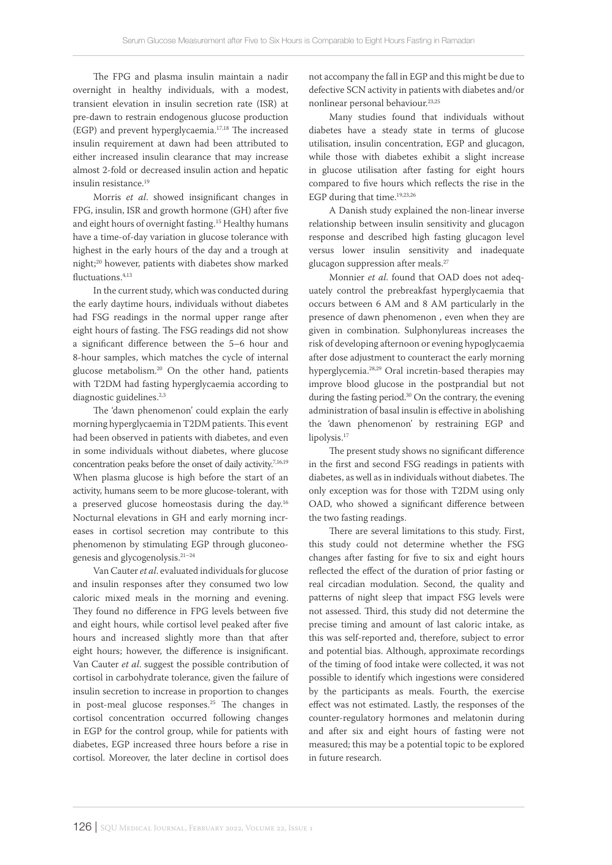The FPG and plasma insulin maintain a nadir overnight in healthy individuals, with a modest, transient elevation in insulin secretion rate (ISR) at pre-dawn to restrain endogenous glucose production (EGP) and prevent hyperglycaemia.17,18 The increased insulin requirement at dawn had been attributed to either increased insulin clearance that may increase almost 2-fold or decreased insulin action and hepatic insulin resistance.19

Morris *et al*. showed insignificant changes in FPG, insulin, ISR and growth hormone (GH) after five and eight hours of overnight fasting.15 Healthy humans have a time-of-day variation in glucose tolerance with highest in the early hours of the day and a trough at night;20 however, patients with diabetes show marked fluctuations.<sup>4,13</sup>

In the current study, which was conducted during the early daytime hours, individuals without diabetes had FSG readings in the normal upper range after eight hours of fasting. The FSG readings did not show a significant difference between the 5–6 hour and 8-hour samples, which matches the cycle of internal glucose metabolism.20 On the other hand, patients with T2DM had fasting hyperglycaemia according to diagnostic guidelines.<sup>2,3</sup>

The 'dawn phenomenon' could explain the early morning hyperglycaemia in T2DM patients. This event had been observed in patients with diabetes, and even in some individuals without diabetes, where glucose concentration peaks before the onset of daily activity.7,16,19 When plasma glucose is high before the start of an activity, humans seem to be more glucose-tolerant, with a preserved glucose homeostasis during the day.16 Nocturnal elevations in GH and early morning increases in cortisol secretion may contribute to this phenomenon by stimulating EGP through gluconeogenesis and glycogenolysis.21–24

Van Cauter *et al*. evaluated individuals for glucose and insulin responses after they consumed two low caloric mixed meals in the morning and evening. They found no difference in FPG levels between five and eight hours, while cortisol level peaked after five hours and increased slightly more than that after eight hours; however, the difference is insignificant. Van Cauter *et al*. suggest the possible contribution of cortisol in carbohydrate tolerance, given the failure of insulin secretion to increase in proportion to changes in post-meal glucose responses.<sup>25</sup> The changes in cortisol concentration occurred following changes in EGP for the control group, while for patients with diabetes, EGP increased three hours before a rise in cortisol. Moreover, the later decline in cortisol does

not accompany the fall in EGP and this might be due to defective SCN activity in patients with diabetes and/or nonlinear personal behaviour.23,25

Many studies found that individuals without diabetes have a steady state in terms of glucose utilisation, insulin concentration, EGP and glucagon, while those with diabetes exhibit a slight increase in glucose utilisation after fasting for eight hours compared to five hours which reflects the rise in the EGP during that time.<sup>19,23,26</sup>

A Danish study explained the non-linear inverse relationship between insulin sensitivity and glucagon response and described high fasting glucagon level versus lower insulin sensitivity and inadequate glucagon suppression after meals.<sup>27</sup>

Monnier *et al*. found that OAD does not adequately control the prebreakfast hyperglycaemia that occurs between 6 AM and 8 AM particularly in the presence of dawn phenomenon , even when they are given in combination. Sulphonylureas increases the risk of developing afternoon or evening hypoglycaemia after dose adjustment to counteract the early morning hyperglycemia.28,29 Oral incretin-based therapies may improve blood glucose in the postprandial but not during the fasting period.<sup>30</sup> On the contrary, the evening administration of basal insulin is effective in abolishing the 'dawn phenomenon' by restraining EGP and lipolysis.<sup>17</sup>

The present study shows no significant difference in the first and second FSG readings in patients with diabetes, as well as in individuals without diabetes. The only exception was for those with T2DM using only OAD, who showed a significant difference between the two fasting readings.

There are several limitations to this study. First, this study could not determine whether the FSG changes after fasting for five to six and eight hours reflected the effect of the duration of prior fasting or real circadian modulation. Second, the quality and patterns of night sleep that impact FSG levels were not assessed. Third, this study did not determine the precise timing and amount of last caloric intake, as this was self-reported and, therefore, subject to error and potential bias. Although, approximate recordings of the timing of food intake were collected, it was not possible to identify which ingestions were considered by the participants as meals. Fourth, the exercise effect was not estimated. Lastly, the responses of the counter-regulatory hormones and melatonin during and after six and eight hours of fasting were not measured; this may be a potential topic to be explored in future research.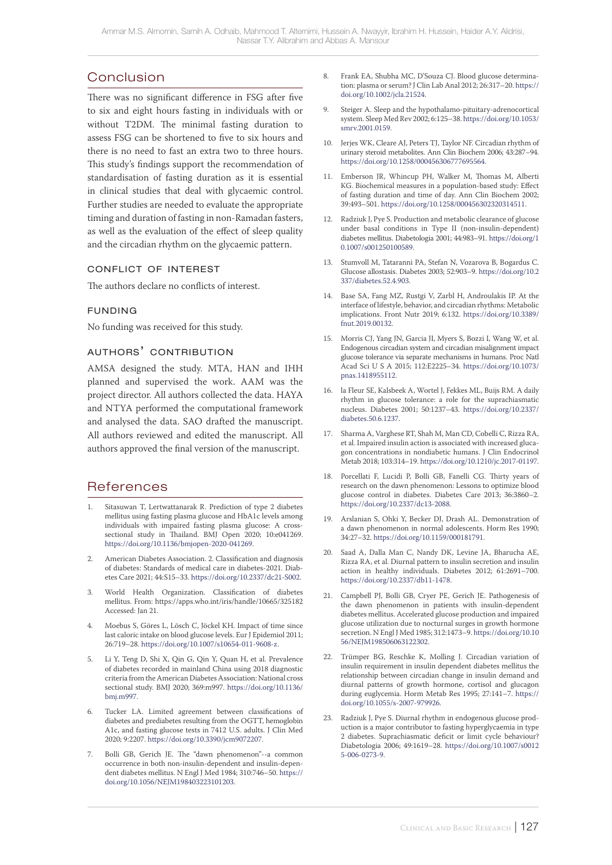# Conclusion

There was no significant difference in FSG after five to six and eight hours fasting in individuals with or without T2DM. The minimal fasting duration to assess FSG can be shortened to five to six hours and there is no need to fast an extra two to three hours. This study's findings support the recommendation of standardisation of fasting duration as it is essential in clinical studies that deal with glycaemic control. Further studies are needed to evaluate the appropriate timing and duration of fasting in non-Ramadan fasters, as well as the evaluation of the effect of sleep quality and the circadian rhythm on the glycaemic pattern.

### conflict of interest

The authors declare no conflicts of interest.

### funding

No funding was received for this study.

### authors' contribution

AMSA designed the study. MTA, HAN and IHH planned and supervised the work. AAM was the project director. All authors collected the data. HAYA and NTYA performed the computational framework and analysed the data. SAO drafted the manuscript. All authors reviewed and edited the manuscript. All authors approved the final version of the manuscript.

## References

- Sitasuwan T, Lertwattanarak R. Prediction of type 2 diabetes mellitus using fasting plasma glucose and HbA1c levels among individuals with impaired fasting plasma glucose: A crosssectional study in Thailand. BMJ Open 2020; 10:e041269. <https://doi.org/10.1136/bmjopen-2020-041269>.
- 2. American Diabetes Association. 2. Classification and diagnosis of diabetes: Standards of medical care in diabetes-2021. Diabetes Care 2021; 44:S15–33. [https://doi.org/10.2337/dc21-S002.](https://doi.org/10.2337/dc21-S002)
- 3. World Health Organization. Classification of diabetes mellitus. From: https://apps.who.int/iris/handle/10665/325182 Accessed: Jan 21.
- 4. Moebus S, Göres L, Lösch C, Jöckel KH. Impact of time since last caloric intake on blood glucose levels. Eur J Epidemiol 2011; 26:719–28. [https://doi.org/10.1007/s10654-011-9608-z.](https://doi.org/10.1007/s10654-011-9608-z)
- 5. Li Y, Teng D, Shi X, Qin G, Qin Y, Quan H, et al. Prevalence of diabetes recorded in mainland China using 2018 diagnostic criteria from the American Diabetes Association: National cross sectional study. BMJ 2020; 369:m997. [https://doi.org/10.1136/](https://doi.org/10.1136/bmj.m997) [bmj.m997.](https://doi.org/10.1136/bmj.m997)
- Tucker LA. Limited agreement between classifications of diabetes and prediabetes resulting from the OGTT, hemoglobin A1c, and fasting glucose tests in 7412 U.S. adults. J Clin Med 2020; 9:2207. [https://doi.org/10.3390/jcm9072207.](https://doi.org/10.3390/jcm9072207)
- 7. Bolli GB, Gerich JE. The "dawn phenomenon"--a common occurrence in both non-insulin-dependent and insulin-dependent diabetes mellitus. N Engl J Med 1984; 310:746–50. [https://](https://doi.org/10.1056/NEJM198403223101203) [doi.org/10.1056/NEJM198403223101203](https://doi.org/10.1056/NEJM198403223101203).
- 8. Frank EA, Shubha MC, D'Souza CJ. Blood glucose determination: plasma or serum? J Clin Lab Anal 2012; 26:317–20. [https://](https://doi.org/10.1002/jcla.21524) [doi.org/10.1002/jcla.21524](https://doi.org/10.1002/jcla.21524).
- 9. Steiger A. Sleep and the hypothalamo-pituitary-adrenocortical system. Sleep Med Rev 2002; 6:125–38. [https://doi.org/10.1053/](https://doi.org/10.1053/smrv.2001.0159)  $\frac{1}{2}$ smrv. 2001.0159.
- 10. Jerjes WK, Cleare AJ, Peters TJ, Taylor NF. Circadian rhythm of urinary steroid metabolites. Ann Clin Biochem 2006; 43:287–94. [https://doi.org/10.1258/000456306777695564.](https://doi.org/10.1258/000456306777695564)
- 11. Emberson JR, Whincup PH, Walker M, Thomas M, Alberti KG. Biochemical measures in a population-based study: Effect of fasting duration and time of day. Ann Clin Biochem 2002; 39:493–501. [https://doi.org/10.1258/000456302320314511.](https://doi.org/10.1258/000456302320314511)
- 12. Radziuk J, Pye S. Production and metabolic clearance of glucose under basal conditions in Type II (non-insulin-dependent) diabetes mellitus. Diabetologia 2001; 44:983–91. [https://doi.org/1](https://doi.org/10.1007/s001250100589) [0.1007/s001250100589.](https://doi.org/10.1007/s001250100589)
- 13. Stumvoll M, Tataranni PA, Stefan N, Vozarova B, Bogardus C. Glucose allostasis. Diabetes 2003; 52:903–9. [https://doi.org/10.2](https://doi.org/10.2337/diabetes.52.4.903) [337/diabetes.52.4.903.](https://doi.org/10.2337/diabetes.52.4.903)
- 14. Base SA, Fang MZ, Rustgi V, Zarbl H, Androulakis IP. At the interface of lifestyle, behavior, and circadian rhythms: Metabolic implications. Front Nutr 2019; 6:132. [https://doi.org/10.3389/](https://doi.org/10.3389/fnut.2019.00132)  $f_{\text{nut}}$ .2019.00132.
- 15. Morris CJ, Yang JN, Garcia JI, Myers S, Bozzi I, Wang W, et al. Endogenous circadian system and circadian misalignment impact glucose tolerance via separate mechanisms in humans. Proc Natl Acad Sci U S A 2015; 112:E2225–34. [https://doi.org/10.1073/](https://doi.org/10.1073/pnas.1418955112) [pnas.1418955112.](https://doi.org/10.1073/pnas.1418955112)
- 16. la Fleur SE, Kalsbeek A, Wortel J, Fekkes ML, Buijs RM. A daily rhythm in glucose tolerance: a role for the suprachiasmatic nucleus. Diabetes 2001; 50:1237–43. [https://doi.org/10.2337/](https://doi.org/10.2337/diabetes.50.6.1237) [diabetes.50.6.1237.](https://doi.org/10.2337/diabetes.50.6.1237)
- 17. Sharma A, Varghese RT, Shah M, Man CD, Cobelli C, Rizza RA, et al. Impaired insulin action is associated with increased glucagon concentrations in nondiabetic humans. J Clin Endocrinol Metab 2018; 103:314–19. [https://doi.org/10.1210/jc.2017-01197.](https://doi.org/10.1210/jc.2017-01197)
- 18. Porcellati F, Lucidi P, Bolli GB, Fanelli CG. Thirty years of research on the dawn phenomenon: Lessons to optimize blood glucose control in diabetes. Diabetes Care 2013; 36:3860–2. [https://doi.org/10.2337/dc13-2088.](https://doi.org/10.2337/dc13-2088)
- 19. Arslanian S, Ohki Y, Becker DJ, Drash AL. Demonstration of a dawn phenomenon in normal adolescents. Horm Res 1990; 34:27–32.<https://doi.org/10.1159/000181791>.
- 20. Saad A, Dalla Man C, Nandy DK, Levine JA, Bharucha AE, Rizza RA, et al. Diurnal pattern to insulin secretion and insulin action in healthy individuals. Diabetes 2012; 61:2691–700. <https://doi.org/10.2337/db11-1478>.
- 21. Campbell PJ, Bolli GB, Cryer PE, Gerich JE. Pathogenesis of the dawn phenomenon in patients with insulin-dependent diabetes mellitus. Accelerated glucose production and impaired glucose utilization due to nocturnal surges in growth hormone secretion. N Engl J Med 1985; 312:1473–9. [https://doi.org/10.10](https://doi.org/10.1056/NEJM198506063122302) [56/NEJM198506063122302](https://doi.org/10.1056/NEJM198506063122302).
- 22. Trümper BG, Reschke K, Molling J. Circadian variation of insulin requirement in insulin dependent diabetes mellitus the relationship between circadian change in insulin demand and diurnal patterns of growth hormone, cortisol and glucagon during euglycemia. Horm Metab Res 1995; 27:141–7. [https://](https://doi.org/10.1055/s-2007-979926) [doi.org/10.1055/s-2007-979926.](https://doi.org/10.1055/s-2007-979926)
- 23. Radziuk J, Pye S. Diurnal rhythm in endogenous glucose production is a major contributor to fasting hyperglycaemia in type 2 diabetes. Suprachiasmatic deficit or limit cycle behaviour? Diabetologia 2006; 49:1619–28. [https://doi.org/10.1007/s0012](https://doi.org/10.1007/s00125-006-0273-9) [5-006-0273-9](https://doi.org/10.1007/s00125-006-0273-9).